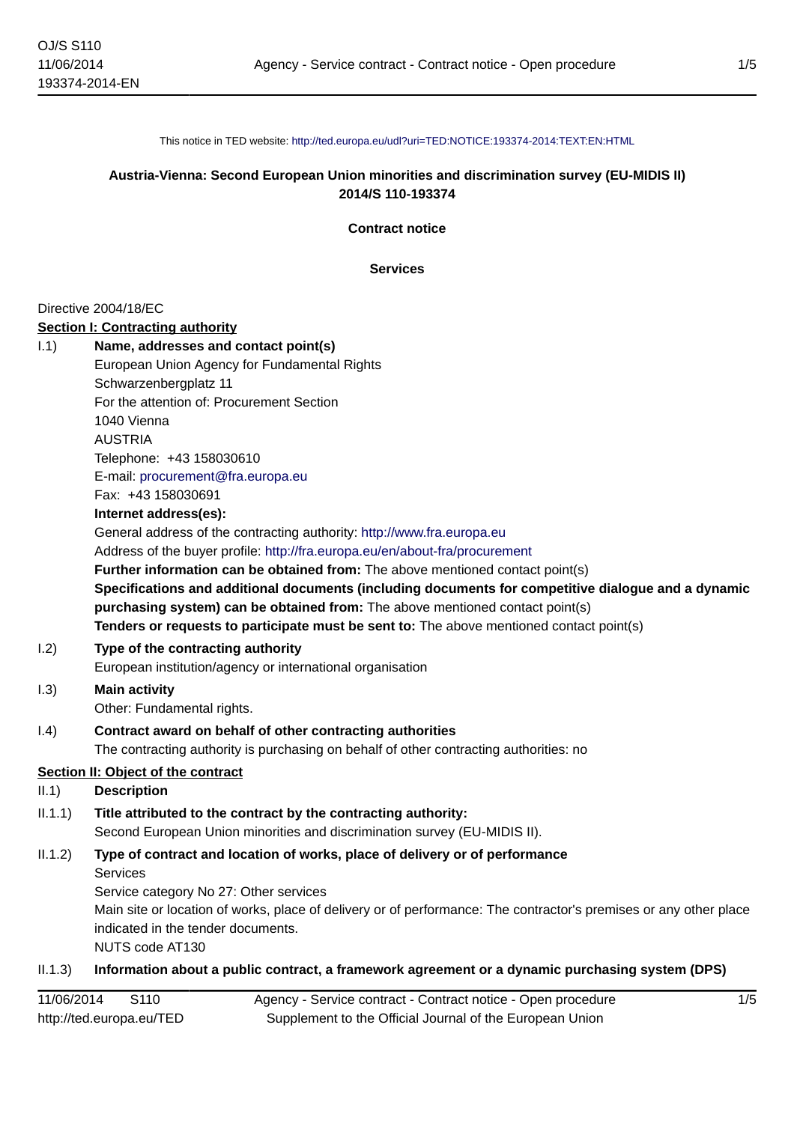This notice in TED website: <http://ted.europa.eu/udl?uri=TED:NOTICE:193374-2014:TEXT:EN:HTML>

## **Austria-Vienna: Second European Union minorities and discrimination survey (EU-MIDIS II) 2014/S 110-193374**

**Contract notice**

**Services**

#### Directive 2004/18/EC

#### **Section I: Contracting authority**

- I.1) **Name, addresses and contact point(s)** European Union Agency for Fundamental Rights Schwarzenbergplatz 11 For the attention of: Procurement Section 1040 Vienna AUSTRIA Telephone: +43 158030610 E-mail: [procurement@fra.europa.eu](mailto:procurement@fra.europa.eu) Fax: +43 158030691 **Internet address(es):** General address of the contracting authority: <http://www.fra.europa.eu> Address of the buyer profile: <http://fra.europa.eu/en/about-fra/procurement> **Further information can be obtained from:** The above mentioned contact point(s) **Specifications and additional documents (including documents for competitive dialogue and a dynamic**
	- **purchasing system) can be obtained from:** The above mentioned contact point(s) **Tenders or requests to participate must be sent to:** The above mentioned contact point(s)

#### I.2) **Type of the contracting authority**

European institution/agency or international organisation

# I.3) **Main activity**

Other: Fundamental rights.

# I.4) **Contract award on behalf of other contracting authorities**

The contracting authority is purchasing on behalf of other contracting authorities: no

# **Section II: Object of the contract**

#### II.1) **Description**

# II.1.1) **Title attributed to the contract by the contracting authority:**

Second European Union minorities and discrimination survey (EU-MIDIS II).

# II.1.2) **Type of contract and location of works, place of delivery or of performance** Services

Service category No 27: Other services Main site or location of works, place of delivery or of performance: The contractor's premises or any other place indicated in the tender documents.

NUTS code AT130

#### II.1.3) **Information about a public contract, a framework agreement or a dynamic purchasing system (DPS)**

| 11/06/2014               | S110 | Agency - Service contract - Contract notice - Open procedure |
|--------------------------|------|--------------------------------------------------------------|
| http://ted.europa.eu/TED |      | Supplement to the Official Journal of the European Union     |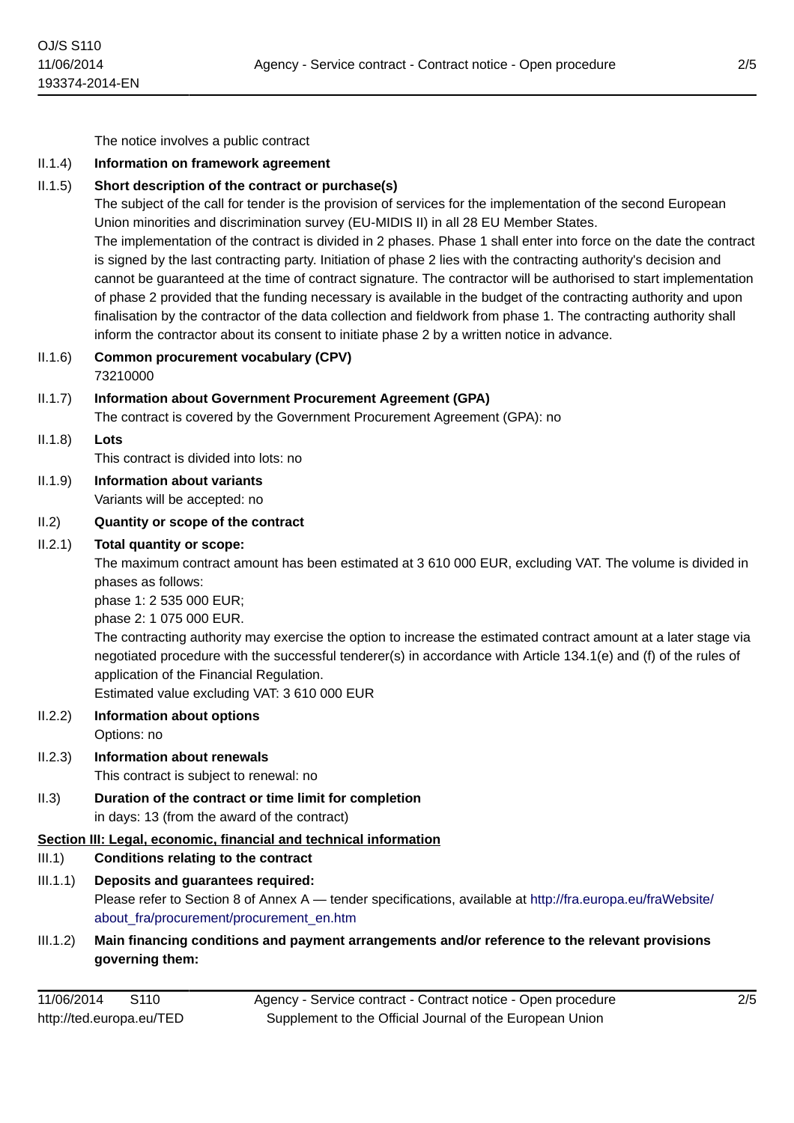The notice involves a public contract

#### II.1.4) **Information on framework agreement**

#### II.1.5) **Short description of the contract or purchase(s)**

The subject of the call for tender is the provision of services for the implementation of the second European Union minorities and discrimination survey (EU-MIDIS II) in all 28 EU Member States.

The implementation of the contract is divided in 2 phases. Phase 1 shall enter into force on the date the contract is signed by the last contracting party. Initiation of phase 2 lies with the contracting authority's decision and cannot be guaranteed at the time of contract signature. The contractor will be authorised to start implementation of phase 2 provided that the funding necessary is available in the budget of the contracting authority and upon finalisation by the contractor of the data collection and fieldwork from phase 1. The contracting authority shall inform the contractor about its consent to initiate phase 2 by a written notice in advance.

II.1.6) **Common procurement vocabulary (CPV)** 73210000

# II.1.7) **Information about Government Procurement Agreement (GPA)**

The contract is covered by the Government Procurement Agreement (GPA): no

II.1.8) **Lots**

This contract is divided into lots: no

II.1.9) **Information about variants** Variants will be accepted: no

#### II.2) **Quantity or scope of the contract**

#### II.2.1) **Total quantity or scope:**

The maximum contract amount has been estimated at 3 610 000 EUR, excluding VAT. The volume is divided in phases as follows:

phase 1: 2 535 000 EUR;

phase 2: 1 075 000 EUR.

The contracting authority may exercise the option to increase the estimated contract amount at a later stage via negotiated procedure with the successful tenderer(s) in accordance with Article 134.1(e) and (f) of the rules of application of the Financial Regulation.

Estimated value excluding VAT: 3 610 000 EUR

- II.2.2) **Information about options** Options: no
- II.2.3) **Information about renewals** This contract is subject to renewal: no
- II.3) **Duration of the contract or time limit for completion**

in days: 13 (from the award of the contract)

**Section III: Legal, economic, financial and technical information**

# III.1) **Conditions relating to the contract**

III.1.1) **Deposits and guarantees required:** Please refer to Section 8 of Annex A — tender specifications, available at [http://fra.europa.eu/fraWebsite/](http://fra.europa.eu/fraWebsite/about_fra/procurement/procurement_en.htm)

[about\\_fra/procurement/procurement\\_en.htm](http://fra.europa.eu/fraWebsite/about_fra/procurement/procurement_en.htm)

III.1.2) **Main financing conditions and payment arrangements and/or reference to the relevant provisions governing them:**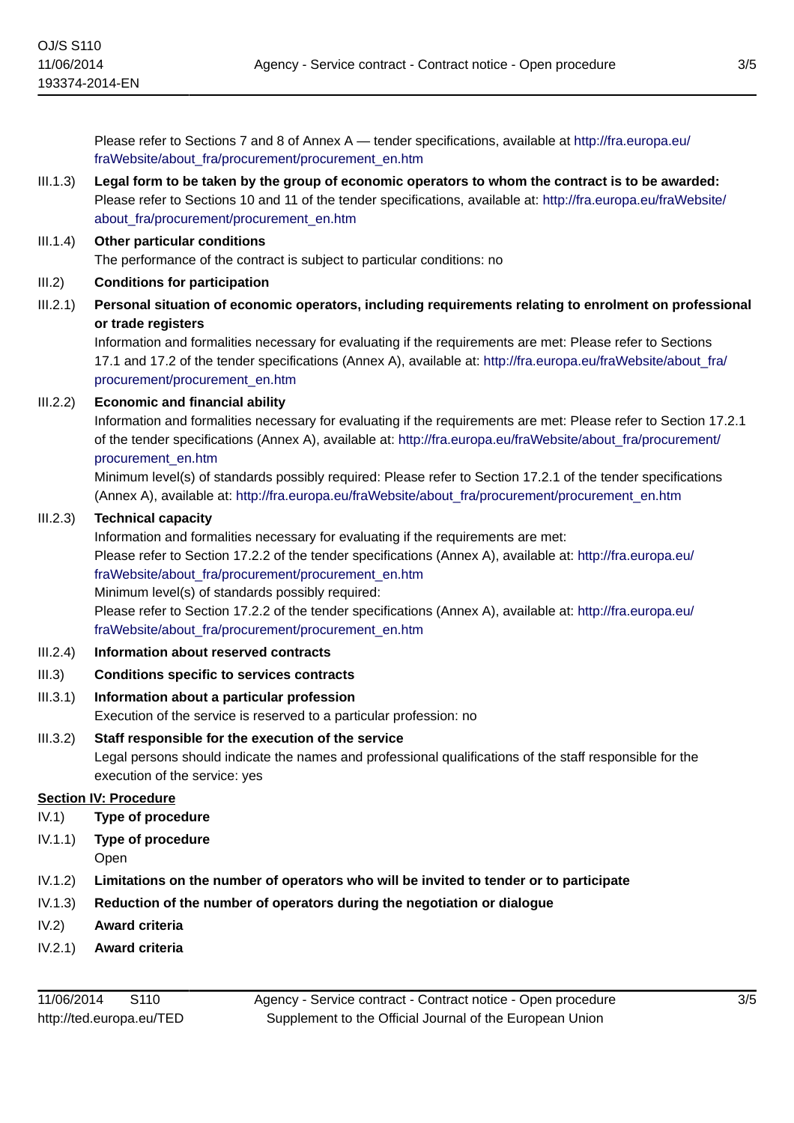Please refer to Sections 7 and 8 of Annex A — tender specifications, available at [http://fra.europa.eu/](http://fra.europa.eu/fraWebsite/about_fra/procurement/procurement_en.htm) [fraWebsite/about\\_fra/procurement/procurement\\_en.htm](http://fra.europa.eu/fraWebsite/about_fra/procurement/procurement_en.htm)

# III.1.3) **Legal form to be taken by the group of economic operators to whom the contract is to be awarded:** Please refer to Sections 10 and 11 of the tender specifications, available at: [http://fra.europa.eu/fraWebsite/](http://fra.europa.eu/fraWebsite/about_fra/procurement/procurement_en.htm) [about\\_fra/procurement/procurement\\_en.htm](http://fra.europa.eu/fraWebsite/about_fra/procurement/procurement_en.htm)

#### III.1.4) **Other particular conditions**

The performance of the contract is subject to particular conditions: no

- III.2) **Conditions for participation**
- III.2.1) **Personal situation of economic operators, including requirements relating to enrolment on professional or trade registers**

Information and formalities necessary for evaluating if the requirements are met: Please refer to Sections 17.1 and 17.2 of the tender specifications (Annex A), available at: [http://fra.europa.eu/fraWebsite/about\\_fra/](http://fra.europa.eu/fraWebsite/about_fra/procurement/procurement_en.htm) [procurement/procurement\\_en.htm](http://fra.europa.eu/fraWebsite/about_fra/procurement/procurement_en.htm)

# III.2.2) **Economic and financial ability**

Information and formalities necessary for evaluating if the requirements are met: Please refer to Section 17.2.1 of the tender specifications (Annex A), available at: [http://fra.europa.eu/fraWebsite/about\\_fra/procurement/](http://fra.europa.eu/fraWebsite/about_fra/procurement/procurement_en.htm) [procurement\\_en.htm](http://fra.europa.eu/fraWebsite/about_fra/procurement/procurement_en.htm)

Minimum level(s) of standards possibly required: Please refer to Section 17.2.1 of the tender specifications (Annex A), available at: [http://fra.europa.eu/fraWebsite/about\\_fra/procurement/procurement\\_en.htm](http://fra.europa.eu/fraWebsite/about_fra/procurement/procurement_en.htm)

#### III.2.3) **Technical capacity**

Information and formalities necessary for evaluating if the requirements are met:

Please refer to Section 17.2.2 of the tender specifications (Annex A), available at: [http://fra.europa.eu/](http://fra.europa.eu/fraWebsite/about_fra/procurement/procurement_en.htm) [fraWebsite/about\\_fra/procurement/procurement\\_en.htm](http://fra.europa.eu/fraWebsite/about_fra/procurement/procurement_en.htm)

Minimum level(s) of standards possibly required:

Please refer to Section 17.2.2 of the tender specifications (Annex A), available at: [http://fra.europa.eu/](http://fra.europa.eu/fraWebsite/about_fra/procurement/procurement_en.htm) [fraWebsite/about\\_fra/procurement/procurement\\_en.htm](http://fra.europa.eu/fraWebsite/about_fra/procurement/procurement_en.htm)

# III.2.4) **Information about reserved contracts**

III.3) **Conditions specific to services contracts**

# III.3.1) **Information about a particular profession**

Execution of the service is reserved to a particular profession: no

# III.3.2) **Staff responsible for the execution of the service**

Legal persons should indicate the names and professional qualifications of the staff responsible for the execution of the service: yes

# **Section IV: Procedure**

- IV.1) **Type of procedure**
- IV.1.1) **Type of procedure**
	- Open
- IV.1.2) **Limitations on the number of operators who will be invited to tender or to participate**
- IV.1.3) **Reduction of the number of operators during the negotiation or dialogue**
- IV.2) **Award criteria**
- IV.2.1) **Award criteria**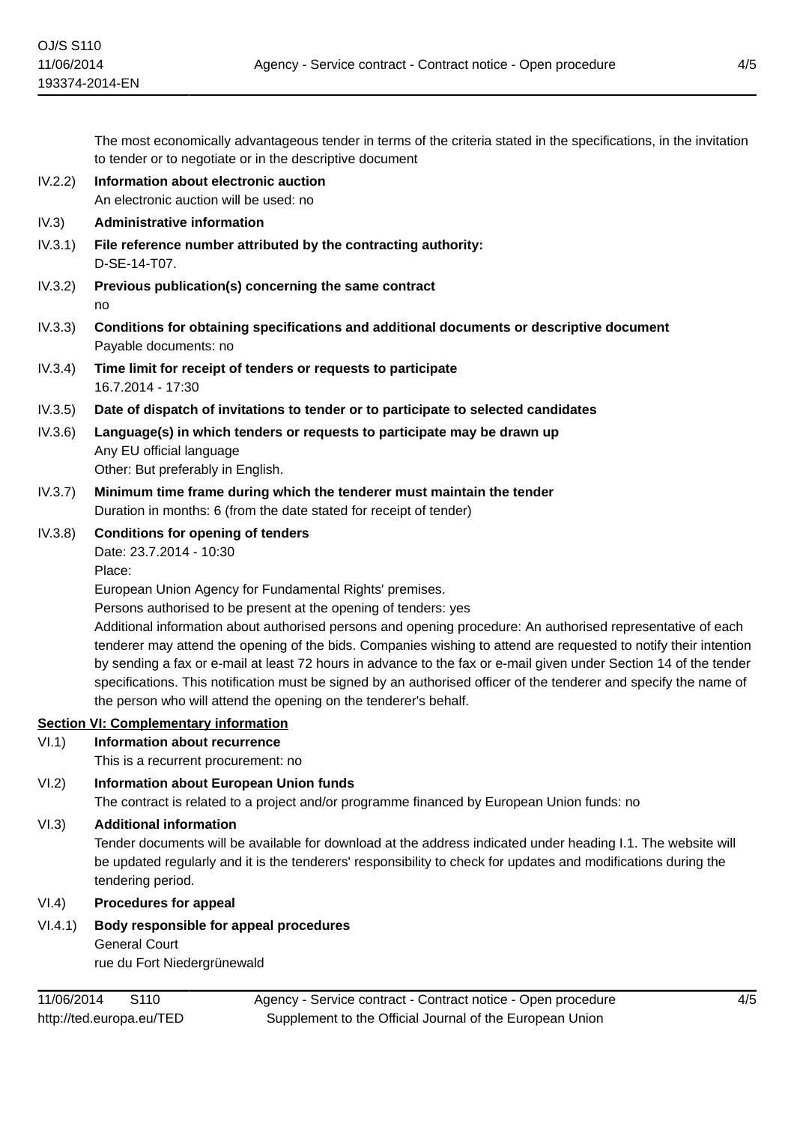The most economically advantageous tender in terms of the criteria stated in the specifications, in the invitation to tender or to negotiate or in the descriptive document

IV.2.2) **Information about electronic auction** An electronic auction will be used: no

#### IV.3) **Administrative information**

- IV.3.1) **File reference number attributed by the contracting authority:** D-SE-14-T07.
- IV.3.2) **Previous publication(s) concerning the same contract** no
- IV.3.3) **Conditions for obtaining specifications and additional documents or descriptive document** Payable documents: no
- IV.3.4) **Time limit for receipt of tenders or requests to participate** 16.7.2014 - 17:30
- IV.3.5) **Date of dispatch of invitations to tender or to participate to selected candidates**
- IV.3.6) **Language(s) in which tenders or requests to participate may be drawn up** Any EU official language Other: But preferably in English.
- IV.3.7) **Minimum time frame during which the tenderer must maintain the tender** Duration in months: 6 (from the date stated for receipt of tender)
- IV.3.8) **Conditions for opening of tenders** Date: 23.7.2014 - 10:30 Place:

European Union Agency for Fundamental Rights' premises.

Persons authorised to be present at the opening of tenders: yes

Additional information about authorised persons and opening procedure: An authorised representative of each tenderer may attend the opening of the bids. Companies wishing to attend are requested to notify their intention by sending a fax or e-mail at least 72 hours in advance to the fax or e-mail given under Section 14 of the tender specifications. This notification must be signed by an authorised officer of the tenderer and specify the name of the person who will attend the opening on the tenderer's behalf.

# **Section VI: Complementary information**

VI.1) **Information about recurrence**

This is a recurrent procurement: no

VI.2) **Information about European Union funds**

The contract is related to a project and/or programme financed by European Union funds: no

#### VI.3) **Additional information**

Tender documents will be available for download at the address indicated under heading I.1. The website will be updated regularly and it is the tenderers' responsibility to check for updates and modifications during the tendering period.

- VI.4) **Procedures for appeal**
- VI.4.1) **Body responsible for appeal procedures** General Court

rue du Fort Niedergrünewald